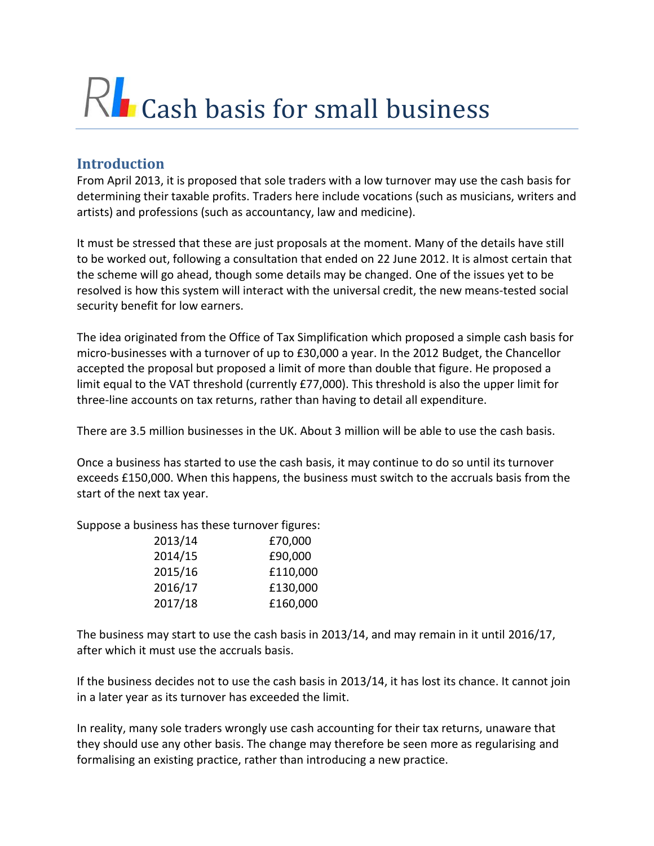# RL Cash basis for small business

# **Introduction**

From April 2013, it is proposed that sole traders with a low turnover may use the cash basis for determining their taxable profits. Traders here include vocations (such as musicians, writers and artists) and professions (such as accountancy, law and medicine).

It must be stressed that these are just proposals at the moment. Many of the details have still to be worked out, following a consultation that ended on 22 June 2012. It is almost certain that the scheme will go ahead, though some details may be changed. One of the issues yet to be resolved is how this system will interact with the universal credit, the new means-tested social security benefit for low earners.

The idea originated from the Office of Tax Simplification which proposed a simple cash basis for micro-businesses with a turnover of up to £30,000 a year. In the 2012 Budget, the Chancellor accepted the proposal but proposed a limit of more than double that figure. He proposed a limit equal to the VAT threshold (currently £77,000). This threshold is also the upper limit for three-line accounts on tax returns, rather than having to detail all expenditure.

There are 3.5 million businesses in the UK. About 3 million will be able to use the cash basis.

Once a business has started to use the cash basis, it may continue to do so until its turnover exceeds £150,000. When this happens, the business must switch to the accruals basis from the start of the next tax year.

Suppose a business has these turnover figures:

| 2013/14 | £70,000  |
|---------|----------|
| 2014/15 | £90,000  |
| 2015/16 | £110,000 |
| 2016/17 | £130,000 |
| 2017/18 | £160,000 |

The business may start to use the cash basis in 2013/14, and may remain in it until 2016/17, after which it must use the accruals basis.

If the business decides not to use the cash basis in 2013/14, it has lost its chance. It cannot join in a later year as its turnover has exceeded the limit.

In reality, many sole traders wrongly use cash accounting for their tax returns, unaware that they should use any other basis. The change may therefore be seen more as regularising and formalising an existing practice, rather than introducing a new practice.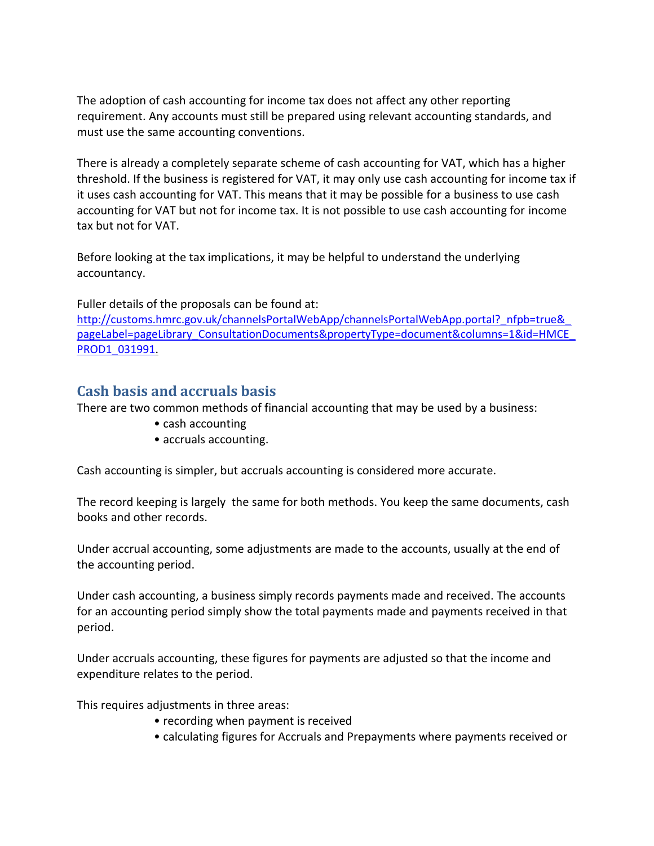The adoption of cash accounting for income tax does not affect any other reporting requirement. Any accounts must still be prepared using relevant accounting standards, and must use the same accounting conventions.

There is already a completely separate scheme of cash accounting for VAT, which has a higher threshold. If the business is registered for VAT, it may only use cash accounting for income tax if it uses cash accounting for VAT. This means that it may be possible for a business to use cash accounting for VAT but not for income tax. It is not possible to use cash accounting for income tax but not for VAT.

Before looking at the tax implications, it may be helpful to understand the underlying accountancy.

Fuller details of the proposals can be found at: http://customs.hmrc.gov.uk/channelsPortalWebApp/channelsPortalWebApp.portal?\_nfpb=true& [pageLabel=pageLibrary\\_ConsultationDocuments&propertyType=document&columns=1&id=HMCE\\_](http://customs.hmrc.gov.uk/channelsPortalWebApp/channelsPortalWebApp.portal?_nfpb=true&_pageLabel=pageLibrary_ConsultationDocuments&propertyType=document&columns=1&id=HMCE_PROD1_031991) [PROD1\\_031991.](http://customs.hmrc.gov.uk/channelsPortalWebApp/channelsPortalWebApp.portal?_nfpb=true&_pageLabel=pageLibrary_ConsultationDocuments&propertyType=document&columns=1&id=HMCE_PROD1_031991)

# **Cash basis and accruals basis**

There are two common methods of financial accounting that may be used by a business:

- cash accounting
- accruals accounting.

Cash accounting is simpler, but accruals accounting is considered more accurate.

The record keeping is largely the same for both methods. You keep the same documents, cash books and other records.

Under accrual accounting, some adjustments are made to the accounts, usually at the end of the accounting period.

Under cash accounting, a business simply records payments made and received. The accounts for an accounting period simply show the total payments made and payments received in that period.

Under accruals accounting, these figures for payments are adjusted so that the income and expenditure relates to the period.

This requires adjustments in three areas:

- recording when payment is received
- calculating figures for Accruals and Prepayments where payments received or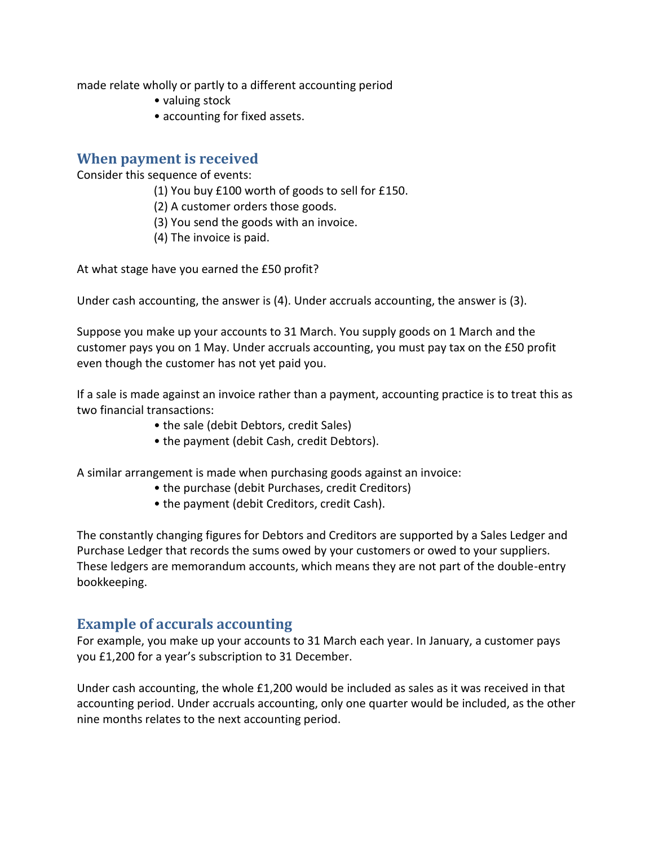made relate wholly or partly to a different accounting period

- valuing stock
- accounting for fixed assets.

#### **When payment is received**

Consider this sequence of events:

- (1) You buy £100 worth of goods to sell for £150.
- (2) A customer orders those goods.
- (3) You send the goods with an invoice.
- (4) The invoice is paid.

At what stage have you earned the £50 profit?

Under cash accounting, the answer is (4). Under accruals accounting, the answer is (3).

Suppose you make up your accounts to 31 March. You supply goods on 1 March and the customer pays you on 1 May. Under accruals accounting, you must pay tax on the £50 profit even though the customer has not yet paid you.

If a sale is made against an invoice rather than a payment, accounting practice is to treat this as two financial transactions:

- the sale (debit Debtors, credit Sales)
- the payment (debit Cash, credit Debtors).

A similar arrangement is made when purchasing goods against an invoice:

- the purchase (debit Purchases, credit Creditors)
- the payment (debit Creditors, credit Cash).

The constantly changing figures for Debtors and Creditors are supported by a Sales Ledger and Purchase Ledger that records the sums owed by your customers or owed to your suppliers. These ledgers are memorandum accounts, which means they are not part of the double-entry bookkeeping.

## **Example of accurals accounting**

For example, you make up your accounts to 31 March each year. In January, a customer pays you £1,200 for a year's subscription to 31 December.

Under cash accounting, the whole £1,200 would be included as sales as it was received in that accounting period. Under accruals accounting, only one quarter would be included, as the other nine months relates to the next accounting period.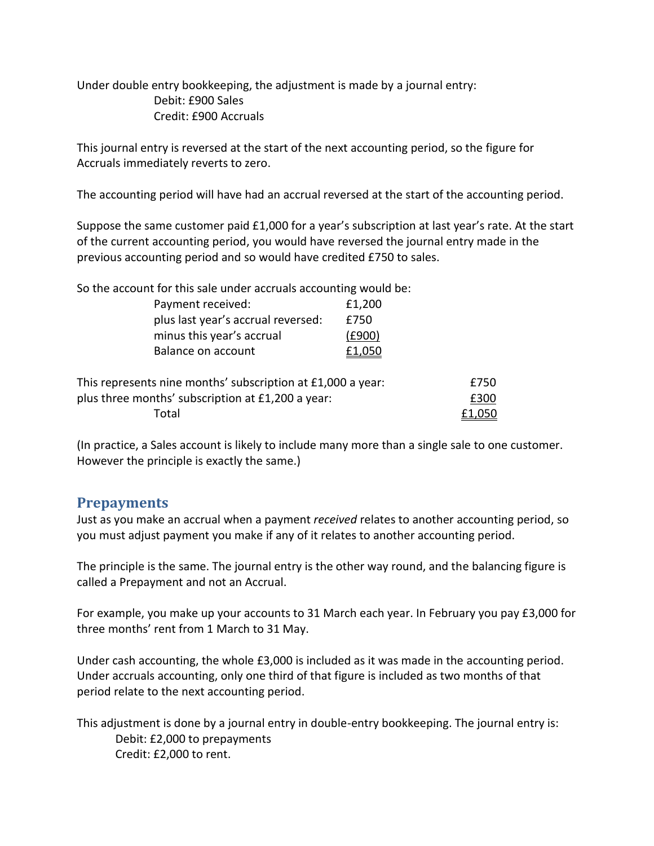Under double entry bookkeeping, the adjustment is made by a journal entry: Debit: £900 Sales Credit: £900 Accruals

This journal entry is reversed at the start of the next accounting period, so the figure for Accruals immediately reverts to zero.

The accounting period will have had an accrual reversed at the start of the accounting period.

Suppose the same customer paid £1,000 for a year's subscription at last year's rate. At the start of the current accounting period, you would have reversed the journal entry made in the previous accounting period and so would have credited £750 to sales.

| So the account for this sale under accruals accounting would be: |        |      |
|------------------------------------------------------------------|--------|------|
| Payment received:                                                | £1,200 |      |
| plus last year's accrual reversed:                               | £750   |      |
| minus this year's accrual                                        | (£900) |      |
| Balance on account                                               | £1,050 |      |
| This represents nine months' subscription at £1,000 a year:      |        | £750 |
| plus three months' subscription at £1,200 a year:                |        | £300 |
| Total                                                            |        |      |

(In practice, a Sales account is likely to include many more than a single sale to one customer. However the principle is exactly the same.)

## **Prepayments**

Just as you make an accrual when a payment *received* relates to another accounting period, so you must adjust payment you make if any of it relates to another accounting period.

The principle is the same. The journal entry is the other way round, and the balancing figure is called a Prepayment and not an Accrual.

For example, you make up your accounts to 31 March each year. In February you pay £3,000 for three months' rent from 1 March to 31 May.

Under cash accounting, the whole £3,000 is included as it was made in the accounting period. Under accruals accounting, only one third of that figure is included as two months of that period relate to the next accounting period.

This adjustment is done by a journal entry in double-entry bookkeeping. The journal entry is: Debit: £2,000 to prepayments Credit: £2,000 to rent.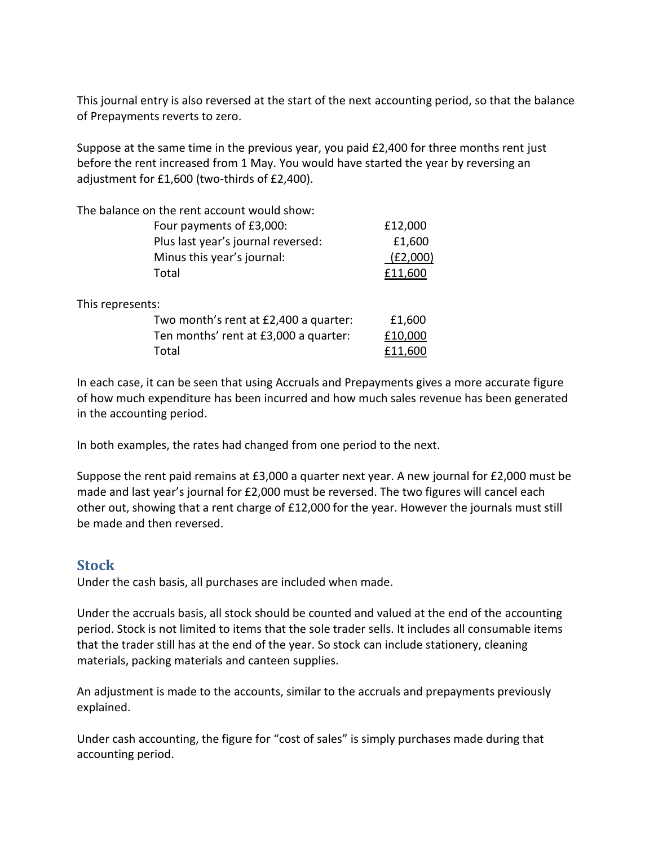This journal entry is also reversed at the start of the next accounting period, so that the balance of Prepayments reverts to zero.

Suppose at the same time in the previous year, you paid £2,400 for three months rent just before the rent increased from 1 May. You would have started the year by reversing an adjustment for £1,600 (two-thirds of £2,400).

| The balance on the rent account would show: |          |
|---------------------------------------------|----------|
| Four payments of £3,000:                    | £12,000  |
| Plus last year's journal reversed:          | £1,600   |
| Minus this year's journal:                  | (E2,000) |
| Total                                       |          |
| This represents:                            |          |
| Two month's rent at £2,400 a quarter:       | £1,600   |
| Ten months' rent at £3,000 a quarter:       | £10,000  |
| Total                                       |          |

In each case, it can be seen that using Accruals and Prepayments gives a more accurate figure of how much expenditure has been incurred and how much sales revenue has been generated in the accounting period.

In both examples, the rates had changed from one period to the next.

Suppose the rent paid remains at £3,000 a quarter next year. A new journal for £2,000 must be made and last year's journal for £2,000 must be reversed. The two figures will cancel each other out, showing that a rent charge of £12,000 for the year. However the journals must still be made and then reversed.

#### **Stock**

Under the cash basis, all purchases are included when made.

Under the accruals basis, all stock should be counted and valued at the end of the accounting period. Stock is not limited to items that the sole trader sells. It includes all consumable items that the trader still has at the end of the year. So stock can include stationery, cleaning materials, packing materials and canteen supplies.

An adjustment is made to the accounts, similar to the accruals and prepayments previously explained.

Under cash accounting, the figure for "cost of sales" is simply purchases made during that accounting period.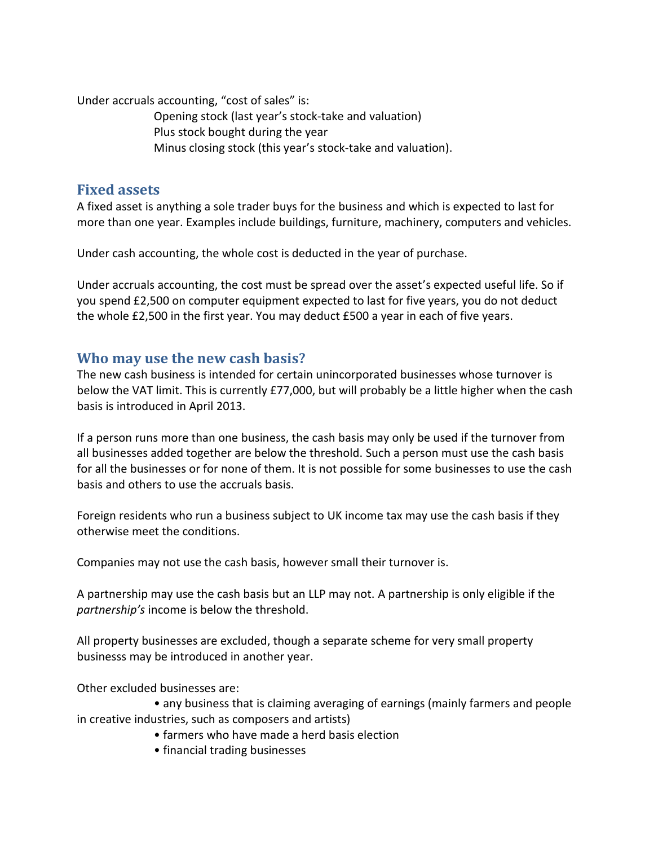Under accruals accounting, "cost of sales" is:

Opening stock (last year's stock-take and valuation) Plus stock bought during the year Minus closing stock (this year's stock-take and valuation).

## **Fixed assets**

A fixed asset is anything a sole trader buys for the business and which is expected to last for more than one year. Examples include buildings, furniture, machinery, computers and vehicles.

Under cash accounting, the whole cost is deducted in the year of purchase.

Under accruals accounting, the cost must be spread over the asset's expected useful life. So if you spend £2,500 on computer equipment expected to last for five years, you do not deduct the whole £2,500 in the first year. You may deduct £500 a year in each of five years.

#### **Who may use the new cash basis?**

The new cash business is intended for certain unincorporated businesses whose turnover is below the VAT limit. This is currently £77,000, but will probably be a little higher when the cash basis is introduced in April 2013.

If a person runs more than one business, the cash basis may only be used if the turnover from all businesses added together are below the threshold. Such a person must use the cash basis for all the businesses or for none of them. It is not possible for some businesses to use the cash basis and others to use the accruals basis.

Foreign residents who run a business subject to UK income tax may use the cash basis if they otherwise meet the conditions.

Companies may not use the cash basis, however small their turnover is.

A partnership may use the cash basis but an LLP may not. A partnership is only eligible if the *partnership's* income is below the threshold.

All property businesses are excluded, though a separate scheme for very small property businesss may be introduced in another year.

Other excluded businesses are:

• any business that is claiming averaging of earnings (mainly farmers and people in creative industries, such as composers and artists)

- farmers who have made a herd basis election
- financial trading businesses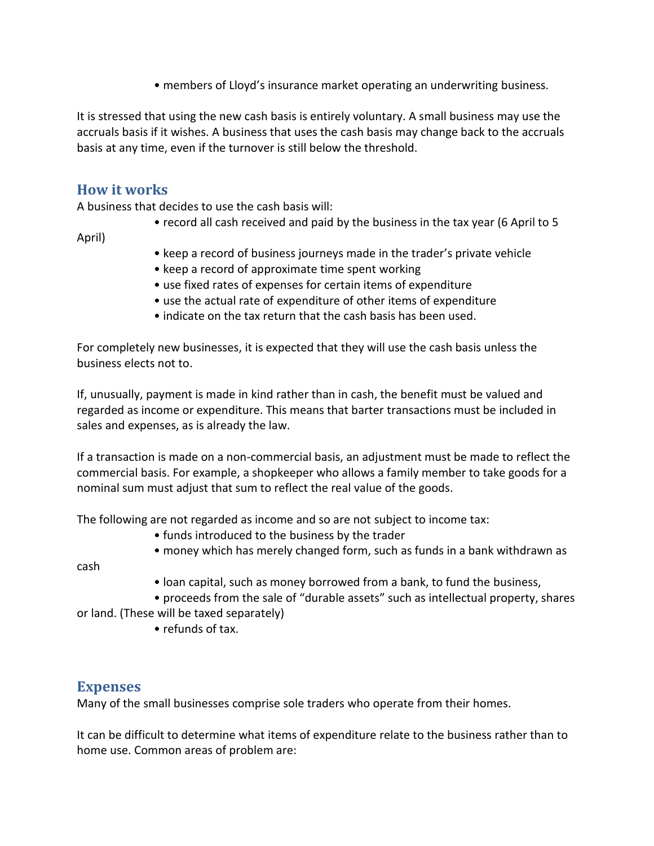• members of Lloyd's insurance market operating an underwriting business.

It is stressed that using the new cash basis is entirely voluntary. A small business may use the accruals basis if it wishes. A business that uses the cash basis may change back to the accruals basis at any time, even if the turnover is still below the threshold.

## **How it works**

A business that decides to use the cash basis will:

• record all cash received and paid by the business in the tax year (6 April to 5

April)

- keep a record of business journeys made in the trader's private vehicle
- keep a record of approximate time spent working
- use fixed rates of expenses for certain items of expenditure
- use the actual rate of expenditure of other items of expenditure
- indicate on the tax return that the cash basis has been used.

For completely new businesses, it is expected that they will use the cash basis unless the business elects not to.

If, unusually, payment is made in kind rather than in cash, the benefit must be valued and regarded as income or expenditure. This means that barter transactions must be included in sales and expenses, as is already the law.

If a transaction is made on a non-commercial basis, an adjustment must be made to reflect the commercial basis. For example, a shopkeeper who allows a family member to take goods for a nominal sum must adjust that sum to reflect the real value of the goods.

The following are not regarded as income and so are not subject to income tax:

- funds introduced to the business by the trader
- money which has merely changed form, such as funds in a bank withdrawn as

cash

• loan capital, such as money borrowed from a bank, to fund the business,

• proceeds from the sale of "durable assets" such as intellectual property, shares

or land. (These will be taxed separately)

• refunds of tax.

#### **Expenses**

Many of the small businesses comprise sole traders who operate from their homes.

It can be difficult to determine what items of expenditure relate to the business rather than to home use. Common areas of problem are: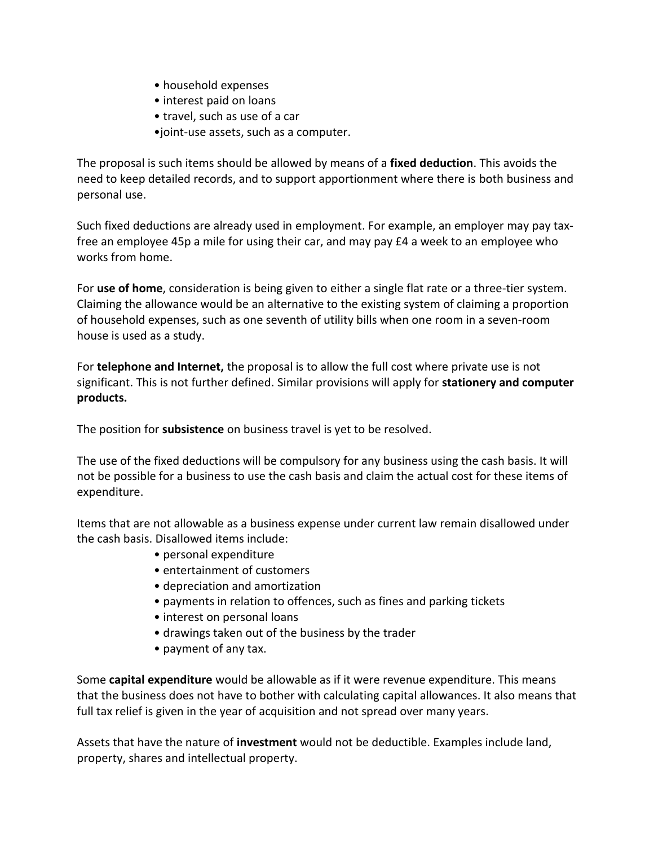- household expenses
- interest paid on loans
- travel, such as use of a car
- •joint-use assets, such as a computer.

The proposal is such items should be allowed by means of a **fixed deduction**. This avoids the need to keep detailed records, and to support apportionment where there is both business and personal use.

Such fixed deductions are already used in employment. For example, an employer may pay taxfree an employee 45p a mile for using their car, and may pay £4 a week to an employee who works from home.

For **use of home**, consideration is being given to either a single flat rate or a three-tier system. Claiming the allowance would be an alternative to the existing system of claiming a proportion of household expenses, such as one seventh of utility bills when one room in a seven-room house is used as a study.

For **telephone and Internet,** the proposal is to allow the full cost where private use is not significant. This is not further defined. Similar provisions will apply for **stationery and computer products.**

The position for **subsistence** on business travel is yet to be resolved.

The use of the fixed deductions will be compulsory for any business using the cash basis. It will not be possible for a business to use the cash basis and claim the actual cost for these items of expenditure.

Items that are not allowable as a business expense under current law remain disallowed under the cash basis. Disallowed items include:

- personal expenditure
- entertainment of customers
- depreciation and amortization
- payments in relation to offences, such as fines and parking tickets
- interest on personal loans
- drawings taken out of the business by the trader
- payment of any tax.

Some **capital expenditure** would be allowable as if it were revenue expenditure. This means that the business does not have to bother with calculating capital allowances. It also means that full tax relief is given in the year of acquisition and not spread over many years.

Assets that have the nature of **investment** would not be deductible. Examples include land, property, shares and intellectual property.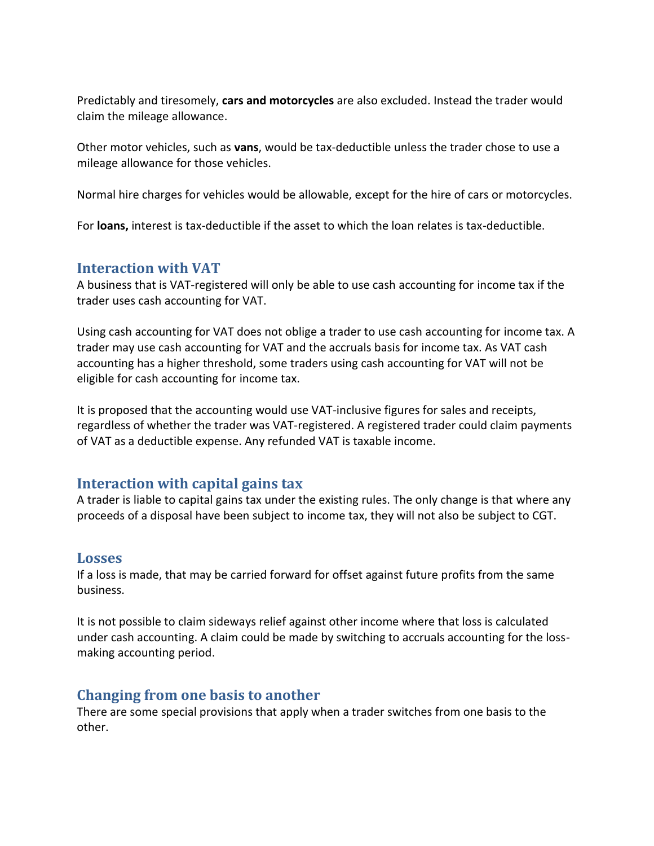Predictably and tiresomely, **cars and motorcycles** are also excluded. Instead the trader would claim the mileage allowance.

Other motor vehicles, such as **vans**, would be tax-deductible unless the trader chose to use a mileage allowance for those vehicles.

Normal hire charges for vehicles would be allowable, except for the hire of cars or motorcycles.

For **loans,** interest is tax-deductible if the asset to which the loan relates is tax-deductible.

#### **Interaction with VAT**

A business that is VAT-registered will only be able to use cash accounting for income tax if the trader uses cash accounting for VAT.

Using cash accounting for VAT does not oblige a trader to use cash accounting for income tax. A trader may use cash accounting for VAT and the accruals basis for income tax. As VAT cash accounting has a higher threshold, some traders using cash accounting for VAT will not be eligible for cash accounting for income tax.

It is proposed that the accounting would use VAT-inclusive figures for sales and receipts, regardless of whether the trader was VAT-registered. A registered trader could claim payments of VAT as a deductible expense. Any refunded VAT is taxable income.

## **Interaction with capital gains tax**

A trader is liable to capital gains tax under the existing rules. The only change is that where any proceeds of a disposal have been subject to income tax, they will not also be subject to CGT.

#### **Losses**

If a loss is made, that may be carried forward for offset against future profits from the same business.

It is not possible to claim sideways relief against other income where that loss is calculated under cash accounting. A claim could be made by switching to accruals accounting for the lossmaking accounting period.

## **Changing from one basis to another**

There are some special provisions that apply when a trader switches from one basis to the other.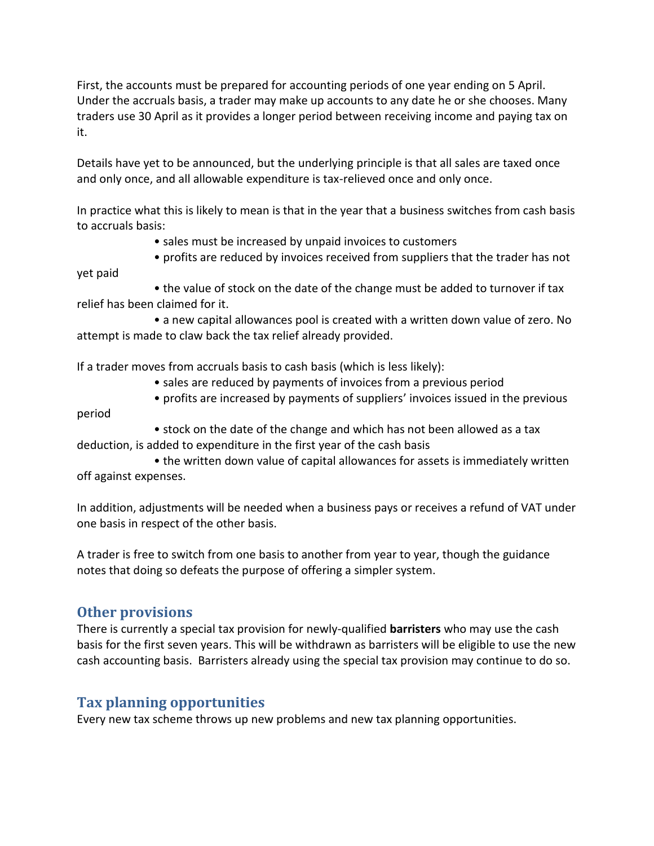First, the accounts must be prepared for accounting periods of one year ending on 5 April. Under the accruals basis, a trader may make up accounts to any date he or she chooses. Many traders use 30 April as it provides a longer period between receiving income and paying tax on it.

Details have yet to be announced, but the underlying principle is that all sales are taxed once and only once, and all allowable expenditure is tax-relieved once and only once.

In practice what this is likely to mean is that in the year that a business switches from cash basis to accruals basis:

- sales must be increased by unpaid invoices to customers
- profits are reduced by invoices received from suppliers that the trader has not

• the value of stock on the date of the change must be added to turnover if tax relief has been claimed for it.

• a new capital allowances pool is created with a written down value of zero. No attempt is made to claw back the tax relief already provided.

If a trader moves from accruals basis to cash basis (which is less likely):

- sales are reduced by payments of invoices from a previous period
- profits are increased by payments of suppliers' invoices issued in the previous

period

yet paid

• stock on the date of the change and which has not been allowed as a tax deduction, is added to expenditure in the first year of the cash basis

• the written down value of capital allowances for assets is immediately written off against expenses.

In addition, adjustments will be needed when a business pays or receives a refund of VAT under one basis in respect of the other basis.

A trader is free to switch from one basis to another from year to year, though the guidance notes that doing so defeats the purpose of offering a simpler system.

## **Other provisions**

There is currently a special tax provision for newly-qualified **barristers** who may use the cash basis for the first seven years. This will be withdrawn as barristers will be eligible to use the new cash accounting basis. Barristers already using the special tax provision may continue to do so.

## **Tax planning opportunities**

Every new tax scheme throws up new problems and new tax planning opportunities.